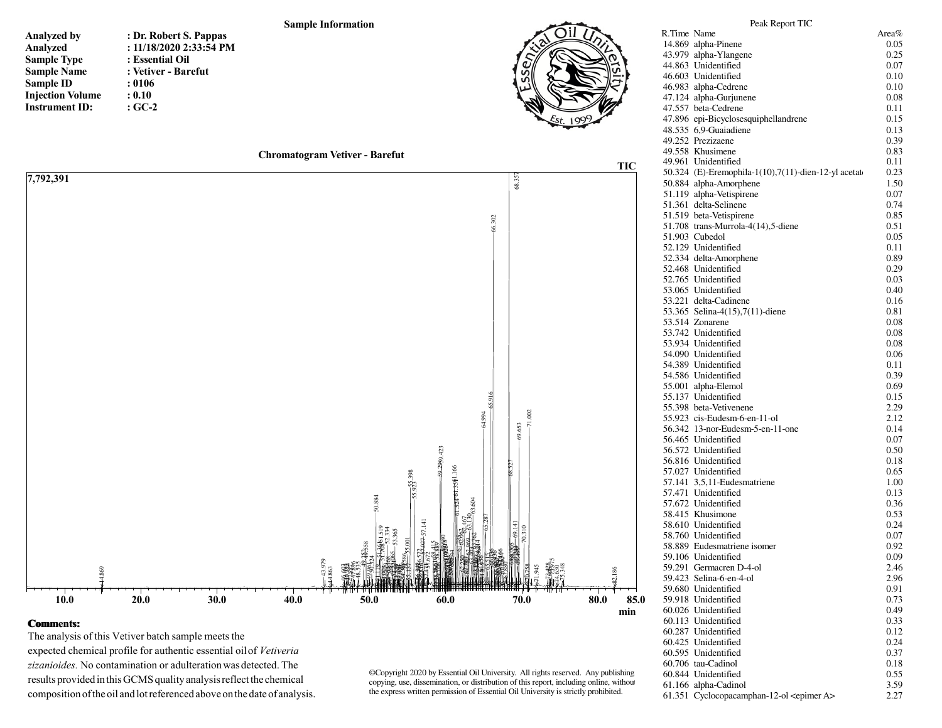|                         |                           | <b>Sample Information</b>             |        |            | Peak Report TIC                                     |       |
|-------------------------|---------------------------|---------------------------------------|--------|------------|-----------------------------------------------------|-------|
| Analyzed by             | : Dr. Robert S. Pappas    |                                       |        |            | R.Time Name                                         | Area% |
|                         | : $11/18/2020$ 2:33:54 PM |                                       |        |            | 14.869 alpha-Pinene                                 | 0.05  |
| Analyzed                |                           |                                       |        |            | 43.979 alpha-Ylangene                               | 0.25  |
| <b>Sample Type</b>      | : Essential Oil           |                                       |        |            | 44.863 Unidentified                                 | 0.07  |
| <b>Sample Name</b>      | : Vetiver - Barefut       |                                       |        | S<br>υńΙ   | 46.603 Unidentified                                 | 0.10  |
| Sample ID               | : 0106                    |                                       |        |            | 46.983 alpha-Cedrene                                | 0.10  |
| <b>Injection Volume</b> | : 0.10                    |                                       |        |            | 47.124 alpha-Gurjunene                              | 0.08  |
| <b>Instrument ID:</b>   | $:GC-2$                   |                                       |        |            | 47.557 beta-Cedrene                                 | 0.11  |
|                         |                           |                                       |        |            | 47.896 epi-Bicyclosesquiphellandrene                | 0.15  |
|                         |                           |                                       |        |            | 48.535 6.9-Guaiadiene                               | 0.13  |
|                         |                           |                                       |        |            | 49.252 Prezizaene                                   | 0.39  |
|                         |                           | <b>Chromatogram Vetiver - Barefut</b> |        |            | 49.558 Khusimene                                    | 0.83  |
|                         |                           |                                       |        | <b>TIC</b> | 49.961 Unidentified                                 | 0.11  |
| 7,792,391               |                           |                                       |        |            | 50.324 (E)-Eremophila-1(10),7(11)-dien-12-yl acetat | 0.23  |
|                         |                           |                                       |        | 68.357     | 50.884 alpha-Amorphene                              | 1.50  |
|                         |                           |                                       |        |            | 51.119 alpha-Vetispirene                            | 0.07  |
|                         |                           |                                       |        |            | 51.361 delta-Selinene                               | 0.74  |
|                         |                           |                                       |        |            | 51.519 beta-Vetispirene                             | 0.85  |
|                         |                           |                                       | 66.302 |            | 51.708 trans-Murrola-4(14),5-diene                  | 0.51  |
|                         |                           |                                       |        |            | 51.903 Cubedol                                      | 0.05  |
|                         |                           |                                       |        |            | 52.129 Unidentified                                 | 0.11  |
|                         |                           |                                       |        |            | 52.334 delta-Amorphene                              | 0.89  |
|                         |                           |                                       |        |            | 52.468 Unidentified                                 | 0.29  |
|                         |                           |                                       |        |            | 52.765 Unidentified                                 | 0.03  |
|                         |                           |                                       |        |            | 53.065 Unidentified                                 | 0.40  |
|                         |                           |                                       |        |            | 53.221 delta-Cadinene                               | 0.16  |
|                         |                           |                                       |        |            | 53.365 Selina-4(15),7(11)-diene                     | 0.81  |
|                         |                           |                                       |        |            | 53.514 Zonarene                                     | 0.08  |

## **Comments:**

 $10.0$ 

The analysis of this Vetiver batch sample meets the expected chemical profile for authentic essential oil of Vetiveria zizanioides. No contamination or adulteration was detected. The results provided in this GCMS quality analysis reflect the chemical composition of the oil and lot referenced above on the date of analysis.

 $30.0$ 

 $40.0$ 

 $50.0$ 

60.0

 $20.0$ 

©Copyright 2020 by Essential Oil University. All rights reserved. Any publishing copying, use, dissemination, or distribution of this report, including online, without the express written permission of Essential Oil University is strictly prohibited.

70.0

80.0

85.0

min

6  $\overline{31}$  $^{18}$ 53.742 Unidentified 0.08 53.934 Unidentified 0.08 54.090 Unidentified 0.06 54.389 Unidentified  $0.11$ 54.586 Unidentified 0.39 55.001 alpha-Elemol 0.69 55.137 Unidentified 0.15 55.398 beta-Vetivenene 2.29 55.923 cis-Eudesm-6-en-11-ol 2.12 56.342 13-nor-Eudesm-5-en-11-one 0.14 56.465 Unidentified  $0.07\,$ 56.572 Unidentified 0.50 56.816 Unidentified 0.18 57.027 Unidentified 0.65 57.141 3,5,11-Eudesmatriene 1.00 57.471 Unidentified 0.13 57.672 Unidentified 0.36 58.415 Khusimone 0.53 58.610 Unidentified 0.24 58.760 Unidentified 0.07 58.889 Eudesmatriene isomer 0.92 59.106 Unidentified 0.09 59.291 Germacren D-4-ol 2.46 59.423 Selina-6-en-4-ol 2.96 0.91 59.680 Unidentified 59.918 Unidentified 0.73 0.49 60.026 Unidentified 60.113 Unidentified 0.33 60.287 Unidentified 0.12 60.425 Unidentified 0.24 60.595 Unidentified 0.37 60.706 tau-Cadinol 0.18 60.844 Unidentified 0.55 61.166 alpha-Cadinol 3.59 61.351 Cyclocopacamphan-12-ol <epimer A> 2.27